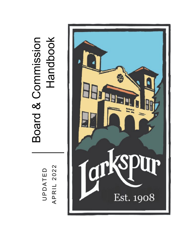# Board & Commission Board & Commission Handbook

UPDATED APRIL 2022

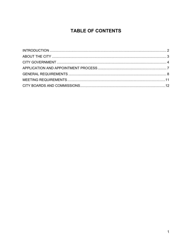# **TABLE OF CONTENTS**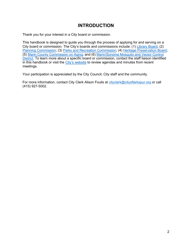# **INTRODUCTION**

<span id="page-2-0"></span>Thank you for your interest in a City board or commission.

This handbook is designed to guide you through the process of applying for and serving on a City board or commission. The City's boards and commissions include: (1) [Library Board;](http://www.cityoflarkspur.org/117/Larkspur-Library-Board) (2) [Planning Commission;](http://www.cityoflarkspur.org/120/Planning-Commission) (3) [Parks and Recreation Commission;](http://www.cityoflarkspur.org/119/Parks-Recreation-Commission) (4) [Heritage Preservation Board;](http://www.cityoflarkspur.org/116/Heritage-Preservation-Board) (5) [Marin County Commission on Aging;](http://www.cityoflarkspur.org/118/Marin-County-Commission-on-Aging) and (6) [Marin/Sonoma Mosquito and Vector Control](http://www.cityoflarkspur.org/687/MarinSonoma-Mosquito-and-Vector-Control-)  [District.](http://www.cityoflarkspur.org/687/MarinSonoma-Mosquito-and-Vector-Control-) To learn more about a specific board or commission, contact the staff liaison identified in this handbook or visit the [City's website](http://www.cityoflarkspur.org/112/Boards-Commissions) to review agendas and minutes from recent meetings.

Your participation is appreciated by the City Council, City staff and the community.

For more information, contact City Clerk Alison Foulis at [cityclerk@cityoflarkspur.org](mailto:cityclerk@cityoflarkspur.org) or call (415) 927-5002.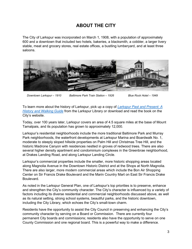# **ABOUT THE CITY**

<span id="page-3-0"></span>The City of Larkspur was incorporated on March 1, 1908, with a population of approximately 600 and a downtown that included two hotels, bakeries, a blacksmith, a cobbler, a larger livery stable, meat and grocery stores, real estate offices, a bustling lumberyard, and at least three saloons.



 *Downtown Larkspur – 1910 Baltimore Park Train Station – 1926 Blue Rock Hotel – 1949*

To learn more about the history of Larkspur, pick up a copy of *[Larkspur Past and Present: A](https://www.ci.larkspur.ca.us/174/Larkspur-Past-Present)  [History and Walking Guide](https://www.ci.larkspur.ca.us/174/Larkspur-Past-Present)* from the Larkspur Library or download and read the book on the City's website.

Today, over 100 years later, Larkspur covers an area of 4.5 square miles at the base of Mount Tamalpais, and its population has grown to approximately 12,000.

Larkspur's residential neighborhoods include the more traditional Baltimore Park and Murray Park neighborhoods, the waterfront developments at Larkspur Marina and Boardwalk No. 1, moderate to steeply sloped hillside properties on Palm Hill and Christmas Tree Hill, and the historic Madrone Canyon with residences nestled in groves of redwood trees. There are also several higher density apartment and condominium complexes in the Greenbrae neighborhood, at Drakes Landing Road, and along Larkspur Landing Circle.

Larkspur's commercial properties include the smaller, more historic shopping areas located along Magnolia Avenue in the Downtown Historic District and at the Shops at North Magnolia. There are also larger, more modern commercial areas which include the Bon Air Shopping Center on Sir Francis Drake Boulevard and the Marin Country Mart on East Sir Francis Drake Boulevard.

As noted in the Larkspur General Plan, one of Larkspur's top priorities is to preserve, enhance and strengthen the City's community character. The City's character is influenced by a variety of factors including its diverse residential and commercial neighborhoods discussed above, as well as its natural setting, strong school systems, beautiful parks, and the historic downtown, including the City Library, which echoes the City's small-town charm.

Residents have the opportunity to assist the City Council in preserving and enhancing the City's community character by serving on a Board or Commission. There are currently four permanent City boards and commissions; residents also have the opportunity to serve on one County Commission and one regional board. This is a powerful way to make a difference.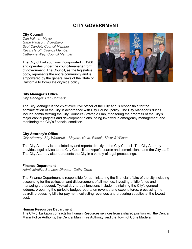# **CITY GOVERNMENT**

#### <span id="page-4-0"></span>**City Council**

*Dan Hillmer, Mayor Gabe Paulson, Vice-Mayor Scot Candell, Council Member Kevin Haroff, Council Member Catherine Way, Council Member*

The City of Larkspur was incorporated in 1908 and operates under the council-manager form of government. The Council, as the legislative body, represents the entire community and is empowered by the general laws of the State of California to formulate citywide policy.



#### **City Manager's Office**

*City Manager: Dan Schwarz* 

The City Manager is the chief executive officer of the City and is responsible for the administration of the City in accordance with City Council policy. The City Manager's duties include administrating the City Council's Strategic Plan, monitoring the progress of the City's major capital projects and development plans, being involved in emergency management and monitoring the City's financial condition.

#### **City Attorney's Office**

*City Attorney: Sky Woodruff – Meyers, Nave, Riback, Silver & Wilson* 

The City Attorney is appointed by and reports directly to the City Council. The City Attorney provides legal advice to the City Council, Larkspur's boards and commissions, and the City staff. The City Attorney also represents the City in a variety of legal proceedings.

#### **Finance Department**

*Administrative Services Director: Cathy Orme* 

The Finance Department is responsible for administering the financial affairs of the city including accounting for the collection and disbursement of all monies, investing of idle funds and managing the budget. Typical day-to-day functions include maintaining the City's general ledgers, preparing the periodic budget reports on revenue and expenditures, processing the payroll, processing bills for payment, collecting revenues and procuring supplies at the lowest cost.

#### **Human Resources Department**

The City of Larkspur contracts for Human Resources services from a shared position with the Central Marin Police Authority, the Central Marin Fire Authority, and the Town of Corte Madera.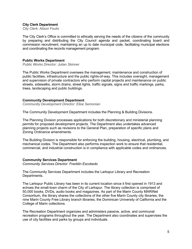#### **City Clerk Department**

*City Clerk: Alison Foulis*

The City Clerk's Office is committed to ethically serving the needs of the citizens of the community by preparing and distributing the City Council agenda and packet, coordinating board and commission recruitment, maintaining an up to date municipal code, facilitating municipal elections and coordinating the records management program.

#### **Public Works Department**

*Public Works Director: Julian Skinner* 

The Public Works Department oversees the management, maintenance and construction of public facilities, infrastructure and the public rights-of-way. This includes oversight, management and supervision of private contractors who perform capital projects and maintenance on public streets, sidewalks, storm drains, street lights, traffic signals, signs and traffic markings, parks, trees, landscaping and public buildings.

#### **Community Development Department**

*Community Development Director: Elise Semonian*

The Community Development Department includes the Planning & Building Divisions.

The Planning Division processes applications for both discretionary and ministerial planning permits for proposed development projects. The Department also undertakes advanced planning projects such as revisions to the General Plan, preparation of specific plans and Zoning Ordinance amendments.

The Building Division is responsible for enforcing the building, housing, electrical, plumbing, and mechanical codes. The Department also performs inspection work to ensure that residential, commercial, and industrial construction is in compliance with applicable codes and ordinances.

#### **Community Services Department**

*Community Services Director: Franklin Escobedo*

The Community Services Department includes the Larkspur Library and Recreation Departments.

The Larkspur Public Library has been in its current location since it first opened in 1913 and echoes the small-town charm of the City of Larkspur. The library collection is comprised of 50,000 books, DVDs, audio books and magazines. As part of the Marin County MARINet Consortium, the library shares the collections of the other five Marin County city libraries, the nine Marin County Free Library branch libraries, the Dominican University of California and the College of Marin collections.

The Recreation Department organizes and administers passive, active, and communal recreation programs throughout the year. The Department also coordinates and supervises the use of city facilities and parks by groups and individuals.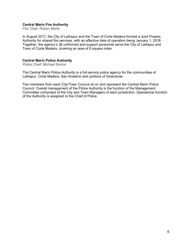#### **Central Marin Fire Authority**

*Fire Chief: Ruben Martin*

In August 2017, the City of Larkspur and the Town of Corte Madera formed a Joint Powers Authority for shared fire services, with an effective date of operation being January 1, 2018. Together, the agency's 36 uniformed and support personnel serve the City of Larkspur and Town of Corte Madera, covering an area of 8 square miles.

#### **Central Marin Police Authority**

*Police Chief: Michael Norton* 

The Central Marin Police Authority is a full-service police agency for the communities of Larkspur, Corte Madera, San Anselmo and portions of Greenbrae.

Two members from each City/Town Council sit on and represent the Central Marin Police Council. Overall management of the Police Authority is the function of the Management Committee comprised of the City and Town Managers of each jurisdiction. Operational function of the Authority is assigned to the Chief of Police.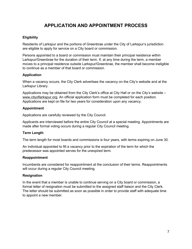# **APPLICATION AND APPOINTMENT PROCESS**

#### <span id="page-7-0"></span>**Eligibility**

Residents of Larkspur and the portions of Greenbrae under the City of Larkspur's jurisdiction are eligible to apply for service on a City board or commission.

Persons appointed to a board or commission must maintain their principal residence within Larkspur/Greenbrae for the duration of their term. If, at any time during the term, a member moves to a principal residence outside Larkspur/Greenbrae, the member shall become ineligible to continue as a member of that board or commission.

## **Application**

When a vacancy occurs, the City Clerk advertises the vacancy on the City's website and at the Larkspur Library.

Applications may be obtained from the City Clerk's office at City Hall or on the City's website – [www.cityoflarkspur.org.](http://www.cityoflarkspur.org/) An official application form must be completed for each position. Applications are kept on file for two years for consideration upon any vacancy.

## **Appointment**

Applications are carefully reviewed by the City Council.

Applicants are interviewed before the entire City Council at a special meeting. Appointments are made after formal voting occurs during a regular City Council meeting.

#### **Term Length**

The term length for most boards and commissions is four years, with terms expiring on June 30.

An individual appointed to fill a vacancy prior to the expiration of the term for which the predecessor was appointed serves for the unexpired term.

#### **Reappointment**

Incumbents are considered for reappointment at the conclusion of their terms. Reappointments will occur during a regular City Council meeting.

#### **Resignation**

In the event that a member is unable to continue serving on a City board or commission, a formal letter of resignation must be submitted to the assigned staff liaison and the City Clerk. The letter should be submitted as soon as possible in order to provide staff with adequate time to appoint a new member.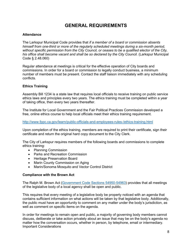# **GENERAL REQUIREMENTS**

#### <span id="page-8-0"></span>**Attendance**

The Larkspur Municipal Code provides that *if a member of a board or commission absents himself from one-third or more of the regularly scheduled meetings during a six-month period, without specific permission from the City Council, or ceases to be a qualified elector of the City, his office shall become vacant and shall be so declared by the City Council.* (Larkspur Municipal Code § 2.48.060)

Regular attendance at meetings is critical for the effective operation of City boards and commissions. In order for a board or commission to legally conduct business, a minimum number of members must be present. Contact the staff liaison immediately with any scheduling conflicts.

#### **Ethics Training**

Assembly Bill 1234 is a state law that requires local officials to receive training on public service ethics laws and principles every two years. The ethics training must be completed within a year of taking office, then every two years thereafter.

The Institute for Local Government and the Fair Political Practices Commission developed a free, online ethics course to help local officials meet their ethics training requirement.

#### <http://www.fppc.ca.gov/learn/public-officials-and-employees-rules-/ethics-training.html>

Upon completion of the ethics training, members are required to print their certificate, sign their certificate and return the original hard copy document to the City Clerk.

The City of Larkspur requires members of the following boards and commissions to complete ethics training:

- Planning Commission
- Parks and Recreation Commission
- Heritage Preservation Board
- Marin County Commission on Aging
- Marin/Sonoma Mosquito and Vector Control District

#### **Compliance with the Brown Act**

The Ralph M. Brown Act [\(Government Code Sections 54950-54963\)](https://leginfo.legislature.ca.gov/faces/codes_displayText.xhtml?division=2.&chapter=9.&part=1.&lawCode=GOV&title=5.) provides that all meetings of the legislative body of a local agency shall be open and public.

This requires that every meeting of a legislative body be property noticed with an agenda that contains sufficient information on what actions will be taken by that legislative body. Additionally, the public must have an opportunity to comment on any matter under the body's jurisdiction, as well as comment on specific items on the agenda.

In order for meetings to remain open and public, a majority of governing body members cannot discuss, deliberate or take action privately about an issue that may be on the body's agenda no matter how the conversation occurs, whether in person, by telephone, email or intermediary. Important Considerations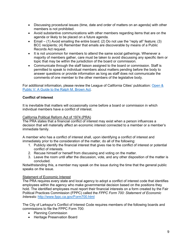- Discussing procedural issues (time, date and order of matters on an agenda) with other members is not prohibited.
- Avoid substantive communications with other members regarding items that are on the agenda or likely to be placed on a future agenda.
- Email  $-$  (1) Avoid emailing the entire board; (2) Do not use the "reply all" feature; (3) BCC recipients; (4) Remember that emails are discoverable by means of a Public Records Act request.
- It is not uncommon for members to attend the same social gatherings. Whenever a majority of members gather, care must be taken to avoid discussing any specific item or topic that may be within the jurisdiction of the board or commission.
- Communicate through the staff liaison assigned to the board or commission. Staff is permitted to speak to individual members about matters pending before the body to answer questions or provide information as long as staff does not communicate the comments of one member to the other members of the legislative body.

For additional information, please review the League of California Cities' publication: [Open &](https://www.cacities.org/Resources-Documents/Resources-Section/Open-Government/Open-Public-2016.aspx)  [Public V: A Guide to the Ralph M. Brown Act.](https://www.cacities.org/Resources-Documents/Resources-Section/Open-Government/Open-Public-2016.aspx)

#### **Conflict of Interest**

It is inevitable that matters will occasionally come before a board or commission in which individual members have a conflict of interest.

#### California Political Reform Act of 1974 (PRA)

The PRA states that a financial conflict of interest may exist when a person influences a decision that will materially affect an economic interest connected to a member or a member's immediate family.

A member who has a conflict of interest shall, upon identifying a conflict of interest and immediately prior to the consideration of the matter, do all of the following:

- 1. Publicly identify the financial interest that gives rise to the conflict of interest or potential conflict of interests.
- 2. Recuse himself or herself from discussing and voting on the matter.
- 3. Leave the room until after the discussion, vote, and any other disposition of the matter is concluded.

Notwithstanding this, a member may speak on the issue during the time that the general public speaks on the issue.

#### Statement of Economic Interest

The PRA requires every state and local agency to adopt a conflict of interest code that identifies employees within the agency who make governmental decision based on the positions they hold. The identified employees must report their financial interests on a form created by the Fair Political Practices Commission (FPPC) called the *FPPC Form 700: Statement of Economic Interests:* <http://www.fppc.ca.gov/Form700.html>

The City of Larkspur's Conflict of Interest Code requires members of the following boards and commissions to file the FPPC Form 700:

- Planning Commission
- Heritage Preservation Board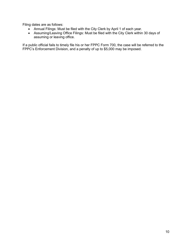Filing dates are as follows:

- Annual Filings: Must be filed with the City Clerk by April 1 of each year.
- Assuming/Leaving Office Filings: Must be filed with the City Clerk within 30 days of assuming or leaving office.

If a public official fails to timely file his or her FPPC Form 700, the case will be referred to the FPPC's Enforcement Division, and a penalty of up to \$5,000 may be imposed.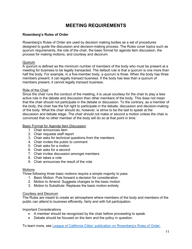# **MEETING REQUIREMENTS**

#### <span id="page-11-0"></span>**Rosenberg's Rules of Order**

Rosenberg's Rules of Order are used by decision making bodies as a set of procedures designed to guide the discussion and decision-making process. The Rules cover topics such as quorum requirements, the role of the chair, the basic format for agenda item discussion, the process for making motions, and courtesy and decorum.

#### Quorum

A quorum is defined as the minimum number of members of the body who must be present at a meeting for business to be legally transacted. The default rule is that a quorum is one more than half the body. For example, in a five-member body, a quorum is three. When the body has three members present, it can legally transact business. If the body has less than a quorum of members present, it cannot legally transact business.

#### Role of the Chair

Since the chair runs the conduct of the meeting, it is usual courtesy for the chair to play a less active role in the debate and discussion than other members of the body. This does not mean that the chair should not participate in the debate or discussion. To the contrary, as a member of the body, the chair has the full right to participate in the debate, discussion and decision-making of the body. What the chair should do, however, is strive to be the last to speak at the discussion and debate stage. The chair should not make or second a motion unless the chair is convinced that no other member of the body will do so at that point in time.

#### Basic Format for Agenda Item Discussion

- 1. Chair announces item
- 2. Chair requests staff report
- 3. Chair asks for technical questions from the members
- 4. Chair invites the public to comment
- 5. Chair asks for a motion
- 6. Chair asks for a second
- 7. Chair invites discussion amongst members
- 8. Chair takes a vote
- 9. Chair announces the result of the vote

#### **Motions**

Three following three basic motions require a simple majority to pass.

- 1. Basic Motion: Puts forward a decision for consideration
- 2. Motion to Amend: Suggests changes to the basic motion
- 3. Motion to Substitute: Replaces the basic motion entirely

#### Courtesy and Decorum

The Rules are meant to create an atmosphere where members of the body and members of the public can attend to business efficiently, fairly and with full participation.

Important Considerations

- A member should be recognized by the chair before proceeding to speak.
- Debate should be focused on the item and the policy in question.

To learn more, see [League of California Cities' publication on Rosenberg's Rules of Order.](https://www.cacities.org/Resources/Open-Government/RosenbergText_2011.aspx)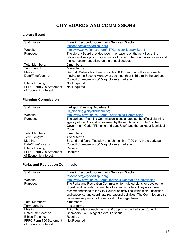# **CITY BOARDS AND COMMISSIONS**

## <span id="page-12-0"></span>**Library Board**

| Staff Liaison:          | Franklin Escobedo, Community Services Director                              |
|-------------------------|-----------------------------------------------------------------------------|
|                         | fescobedo@cityoflarkspur.org                                                |
| Website:                | http://www.cityoflarkspur.org/117/Larkspur-Library-Board                    |
| Purpose:                | The Library Board provides recommendations on the activities of the         |
|                         | Library and sets policy concerning its function. The Board also reviews and |
|                         | makes recommendations on the annual budget.                                 |
| Total Members:          | 5 members                                                                   |
| Term Length:            | 4-year terms                                                                |
| Meeting                 | Second Wednesday of each month at 6:15 p.m., but will soon consider         |
| Date/Time/Location:     | moving to the Second Monday of each month at 6:15 p.m. in the Larkspur      |
|                         | Council Chambers - 400 Magnolia Ave, Larkspur                               |
| Ethics Training:        | Not Required                                                                |
| FPPC Form 700 Statement | Not Required                                                                |
| of Economic Interest:   |                                                                             |

## **Planning Commission**

| Staff Liaison:          | Larkspur Planning Department                                            |
|-------------------------|-------------------------------------------------------------------------|
|                         | Lk planning@cityoflarkspur.org                                          |
| Website:                | http://www.cityoflarkspur.org/120/Planning-Commission                   |
| Purpose:                | The Larkspur Planning Commission is designated as the official planning |
|                         | agency of the City and is governed by the regulations in Title 7 of the |
|                         | Government Code, "Planning and Land Use", and the Larkspur Municipal    |
|                         | Code.                                                                   |
| Total Members:          | 5 members                                                               |
| Term Length:            | 4-year terms                                                            |
| Meeting                 | Second and fourth Tuesday of each month at 7:00 p.m. in the Larkspur    |
| Date/Time/Location:     | Council Chambers - 400 Magnolia Ave, Larkspur                           |
| Ethics Training:        | Required                                                                |
| FPPC Form 700 Statement | Required                                                                |
| of Economic Interest:   |                                                                         |

## **Parks and Recreation Commission**

| Staff Liaison:          | Franklin Escobedo, Community Services Director                              |
|-------------------------|-----------------------------------------------------------------------------|
|                         | fescobedo@cityoflarkspur.org                                                |
| Website:                | http://www.cityoflarkspur.org/119/Parks-Recreation-Commission               |
| Purpose:                | The Parks and Recreation Commission formulated plans for development        |
|                         | of park and recreation areas, facilities, and activities. They also make    |
|                         | recommendations to the City Council on activities within their jurisdiction |
|                         | and supervise and coordinate recreational activities. The Commission also   |
|                         | processes requests for the removal of Heritage Trees.                       |
| <b>Total Members:</b>   | 5 members                                                                   |
| Term Length:            | 4-year terms                                                                |
| Meeting                 | Third Thursday of each month at 6:30 p.m. in the Larkspur Council           |
| Date/Time/Location:     | Chambers - 400 Magnolia Ave, Larkspur                                       |
| Ethics Training:        | Required                                                                    |
| FPPC Form 700 Statement | Not Required                                                                |
| of Economic Interest:   |                                                                             |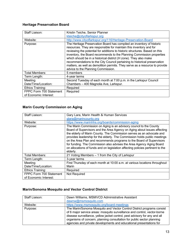## **Heritage Preservation Board**

| <b>Staff Liaison:</b>   | Kristin Teiche, Senior Planner                                                                                                                                                                                                                                                                                                                                                                                              |
|-------------------------|-----------------------------------------------------------------------------------------------------------------------------------------------------------------------------------------------------------------------------------------------------------------------------------------------------------------------------------------------------------------------------------------------------------------------------|
|                         | kteiche@cityoflarkspur.org                                                                                                                                                                                                                                                                                                                                                                                                  |
| Website:                | http://www.cityoflarkspur.org/116/Heritage-Preservation-Board                                                                                                                                                                                                                                                                                                                                                               |
| Purpose:                | The Heritage Preservation Board has compiled an inventory of historic<br>resources. They are responsible for maintain this inventory and for                                                                                                                                                                                                                                                                                |
|                         | reviewing the potential for additions to historic structures. Based on this<br>inventory, the Board recommends to the Planning Commission properties<br>which should be in a historical district (H zone). They also make<br>recommendations to the City Council pertaining to historical preservation<br>matters, as well as demolition permits. They serve as a resource to provide<br>advice to the Planning Commission. |
| Total Members:          | 5 members                                                                                                                                                                                                                                                                                                                                                                                                                   |
| Term Length:            | 4-year terms                                                                                                                                                                                                                                                                                                                                                                                                                |
| Meeting                 | Second Tuesday of each month at 7:00 p.m. in the Larkspur Council                                                                                                                                                                                                                                                                                                                                                           |
| Date/Time/Location:     | Chambers - 400 Magnolia Ave, Larkspur.                                                                                                                                                                                                                                                                                                                                                                                      |
| Ethics Training:        | Required                                                                                                                                                                                                                                                                                                                                                                                                                    |
| FPPC Form 700 Statement | Required                                                                                                                                                                                                                                                                                                                                                                                                                    |
| of Economic Interest:   |                                                                                                                                                                                                                                                                                                                                                                                                                             |

## **Marin County Commission on Aging**

| Staff Liaison:          | Gary Lara, Marin Health & Human Services                                       |
|-------------------------|--------------------------------------------------------------------------------|
|                         | glara@marincounty.org                                                          |
| Website:                | https://www.marinhhs.org/boards/commission-aging                               |
| Purpose:                | The Marin Commission on Aging is an advisory council to the County             |
|                         | Board of Supervisors and the Area Agency on Aging about issues affecting       |
|                         | the elderly of Marin County. The Commission serves as an advocate and          |
|                         | provides leadership for the elderly. The Commission holds public meetings      |
|                         | on the Area Plan and recommends programs to the Board of Supervisors           |
|                         | for funding. The Commission also advises the Area Agency Aging Board           |
|                         | on allocations of funds and on legislation affecting policies pertinent to the |
|                         | elderly.                                                                       |
| Total Members:          | 21 Voting Members - 1 from the City of Larkspur                                |
| Term Length:            | 3-year terms                                                                   |
| Meeting                 | First Thursday of each month at 10:00 a.m. at various locations throughout     |
| Date/Time/Location:     | Marin                                                                          |
| Ethics Training:        | Required                                                                       |
| FPPC Form 700 Statement | Not Required                                                                   |
| of Economic Interest:   |                                                                                |

## **Marin/Sonoma Mosquito and Vector Control District**

| Staff Liaison: | Dawn Williams, MSMVCD Administrative Assistant<br>dawnw@msmosquito.com                                                                                                                                                                                                                                                                                                             |
|----------------|------------------------------------------------------------------------------------------------------------------------------------------------------------------------------------------------------------------------------------------------------------------------------------------------------------------------------------------------------------------------------------|
| Website:       | https://www.msmosquito.org/board-meetings                                                                                                                                                                                                                                                                                                                                          |
| Purpose:       | The Marin/Sonoma Mosquito and Vector Control District programs consist<br>of 6 major service areas: mosquito surveillance and control, vector-borne<br>disease surveillance, yellow jacket control, pest advisory for any and all<br>organisms of concern, planning consultation for public sector planning<br>agencies and private developments and educational presentations for |